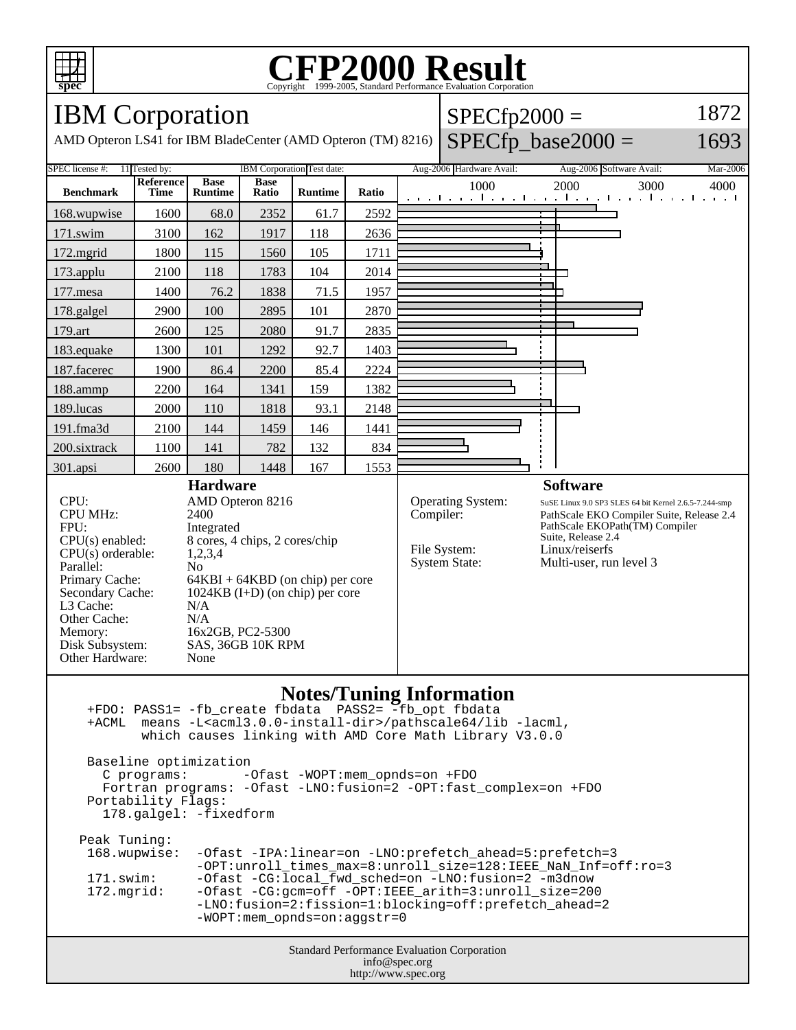

### **CFP2000 Result** Copyright ©1999-2005, Standard

 $SPECfp2000 =$ 

1872

## IBM Corporation

Memory: 16x2GB, PC2-5300 Disk Subsystem: SAS, 36GB 10K RPM

Other Hardware: None

AMD Opteron LS41 for IBM BladeCenter (AMD Opteron (TM) 8216)



### **Notes/Tuning Information**

Standard Performance Evaluation Corporation info@spec.org +FDO: PASS1= -fb\_create fbdata PASS2= -fb\_opt fbdata +ACML means -L<acml3.0.0-install-dir>/pathscale64/lib -lacml, which causes linking with AMD Core Math Library V3.0.0 Baseline optimization C programs: -Ofast -WOPT:mem\_opnds=on +FDO Fortran programs: -Ofast -LNO:fusion=2 -OPT:fast\_complex=on +FDO Portability Flags: 178.galgel: -fixedform Peak Tuning: 168.wupwise: -Ofast -IPA:linear=on -LNO:prefetch\_ahead=5:prefetch=3 -OPT:unroll\_times\_max=8:unroll\_size=128:IEEE\_NaN\_Inf=off:ro=3<br>171.swim: -Ofast -CG:local fwd sched=on -LNO:fusion=2 -m3dnow 171.swim: -Ofast -CG:local\_fwd\_sched=on -LNO:fusion=2 -m3dnow<br>172.mgrid: -Ofast -CG:gcm=off -OPT:IEEE\_arith=3:unroll\_size=200 -Ofast -CG:gcm=off -OPT:IEEE\_arith=3:unroll\_size=200 -LNO:fusion=2:fission=1:blocking=off:prefetch\_ahead=2 -WOPT:mem\_opnds=on:aggstr=0

http://www.spec.org